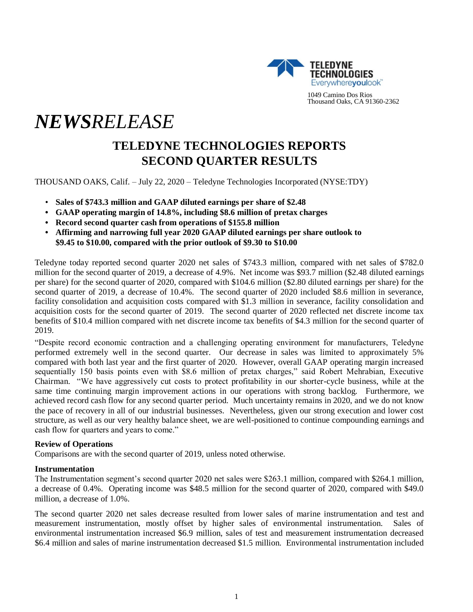

1049 Camino Dos Rios Thousand Oaks, CA 91360-2362

# *NEWSRELEASE*

# **TELEDYNE TECHNOLOGIES REPORTS SECOND QUARTER RESULTS**

THOUSAND OAKS, Calif. – July 22, 2020 – Teledyne Technologies Incorporated (NYSE:TDY)

- **Sales of \$743.3 million and GAAP diluted earnings per share of \$2.48**
- **• GAAP operating margin of 14.8%, including \$8.6 million of pretax charges**
- **• Record second quarter cash from operations of \$155.8 million**
- **• Affirming and narrowing full year 2020 GAAP diluted earnings per share outlook to \$9.45 to \$10.00, compared with the prior outlook of \$9.30 to \$10.00**

Teledyne today reported second quarter 2020 net sales of \$743.3 million, compared with net sales of \$782.0 million for the second quarter of 2019, a decrease of 4.9%. Net income was \$93.7 million (\$2.48 diluted earnings per share) for the second quarter of 2020, compared with \$104.6 million (\$2.80 diluted earnings per share) for the second quarter of 2019, a decrease of 10.4%. The second quarter of 2020 included \$8.6 million in severance, facility consolidation and acquisition costs compared with \$1.3 million in severance, facility consolidation and acquisition costs for the second quarter of 2019. The second quarter of 2020 reflected net discrete income tax benefits of \$10.4 million compared with net discrete income tax benefits of \$4.3 million for the second quarter of 2019.

"Despite record economic contraction and a challenging operating environment for manufacturers, Teledyne performed extremely well in the second quarter. Our decrease in sales was limited to approximately 5% compared with both last year and the first quarter of 2020. However, overall GAAP operating margin increased sequentially 150 basis points even with \$8.6 million of pretax charges," said Robert Mehrabian, Executive Chairman. "We have aggressively cut costs to protect profitability in our shorter-cycle business, while at the same time continuing margin improvement actions in our operations with strong backlog. Furthermore, we achieved record cash flow for any second quarter period. Much uncertainty remains in 2020, and we do not know the pace of recovery in all of our industrial businesses. Nevertheless, given our strong execution and lower cost structure, as well as our very healthy balance sheet, we are well-positioned to continue compounding earnings and cash flow for quarters and years to come."

# **Review of Operations**

Comparisons are with the second quarter of 2019, unless noted otherwise.

#### **Instrumentation**

The Instrumentation segment's second quarter 2020 net sales were \$263.1 million, compared with \$264.1 million, a decrease of 0.4%. Operating income was \$48.5 million for the second quarter of 2020, compared with \$49.0 million, a decrease of 1.0%.

The second quarter 2020 net sales decrease resulted from lower sales of marine instrumentation and test and measurement instrumentation, mostly offset by higher sales of environmental instrumentation. Sales of environmental instrumentation increased \$6.9 million, sales of test and measurement instrumentation decreased \$6.4 million and sales of marine instrumentation decreased \$1.5 million. Environmental instrumentation included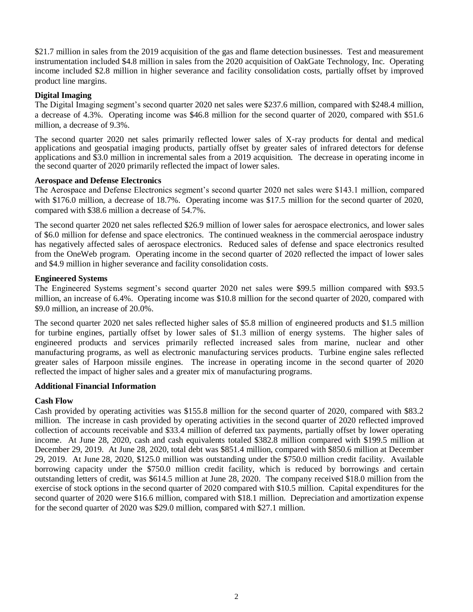\$21.7 million in sales from the 2019 acquisition of the gas and flame detection businesses. Test and measurement instrumentation included \$4.8 million in sales from the 2020 acquisition of OakGate Technology, Inc. Operating income included \$2.8 million in higher severance and facility consolidation costs, partially offset by improved product line margins.

# **Digital Imaging**

The Digital Imaging segment's second quarter 2020 net sales were \$237.6 million, compared with \$248.4 million, a decrease of 4.3%. Operating income was \$46.8 million for the second quarter of 2020, compared with \$51.6 million, a decrease of 9.3%.

The second quarter 2020 net sales primarily reflected lower sales of X-ray products for dental and medical applications and geospatial imaging products, partially offset by greater sales of infrared detectors for defense applications and \$3.0 million in incremental sales from a 2019 acquisition. The decrease in operating income in the second quarter of 2020 primarily reflected the impact of lower sales.

# **Aerospace and Defense Electronics**

The Aerospace and Defense Electronics segment's second quarter 2020 net sales were \$143.1 million, compared with \$176.0 million, a decrease of 18.7%. Operating income was \$17.5 million for the second quarter of 2020, compared with \$38.6 million a decrease of 54.7%.

The second quarter 2020 net sales reflected \$26.9 million of lower sales for aerospace electronics, and lower sales of \$6.0 million for defense and space electronics. The continued weakness in the commercial aerospace industry has negatively affected sales of aerospace electronics. Reduced sales of defense and space electronics resulted from the OneWeb program. Operating income in the second quarter of 2020 reflected the impact of lower sales and \$4.9 million in higher severance and facility consolidation costs.

# **Engineered Systems**

The Engineered Systems segment's second quarter 2020 net sales were \$99.5 million compared with \$93.5 million, an increase of 6.4%. Operating income was \$10.8 million for the second quarter of 2020, compared with \$9.0 million, an increase of 20.0%.

The second quarter 2020 net sales reflected higher sales of \$5.8 million of engineered products and \$1.5 million for turbine engines, partially offset by lower sales of \$1.3 million of energy systems. The higher sales of engineered products and services primarily reflected increased sales from marine, nuclear and other manufacturing programs, as well as electronic manufacturing services products. Turbine engine sales reflected greater sales of Harpoon missile engines. The increase in operating income in the second quarter of 2020 reflected the impact of higher sales and a greater mix of manufacturing programs.

# **Additional Financial Information**

# **Cash Flow**

Cash provided by operating activities was \$155.8 million for the second quarter of 2020, compared with \$83.2 million. The increase in cash provided by operating activities in the second quarter of 2020 reflected improved collection of accounts receivable and \$33.4 million of deferred tax payments, partially offset by lower operating income. At June 28, 2020, cash and cash equivalents totaled \$382.8 million compared with \$199.5 million at December 29, 2019. At June 28, 2020, total debt was \$851.4 million, compared with \$850.6 million at December 29, 2019. At June 28, 2020, \$125.0 million was outstanding under the \$750.0 million credit facility. Available borrowing capacity under the \$750.0 million credit facility, which is reduced by borrowings and certain outstanding letters of credit, was \$614.5 million at June 28, 2020. The company received \$18.0 million from the exercise of stock options in the second quarter of 2020 compared with \$10.5 million. Capital expenditures for the second quarter of 2020 were \$16.6 million, compared with \$18.1 million. Depreciation and amortization expense for the second quarter of 2020 was \$29.0 million, compared with \$27.1 million.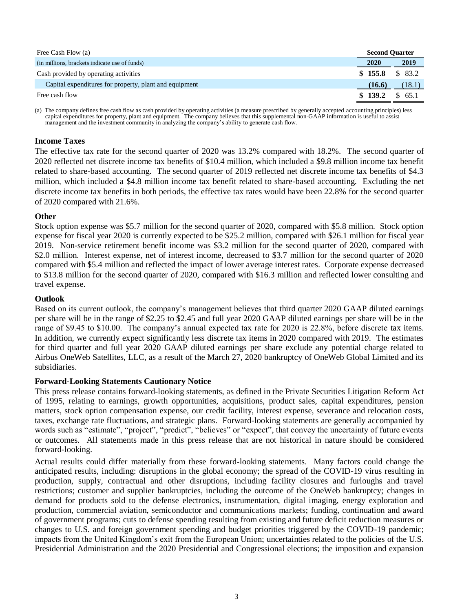| Free Cash Flow (a)                                     | <b>Second Quarter</b> |         |
|--------------------------------------------------------|-----------------------|---------|
| (in millions, brackets indicate use of funds)          | 2020                  | 2019    |
| Cash provided by operating activities                  | \$155.8               | \$ 83.2 |
| Capital expenditures for property, plant and equipment | (16.6)                | (18.1)  |
| Free cash flow                                         | \$139.2               | 65.1    |

(a) The company defines free cash flow as cash provided by operating activities (a measure prescribed by generally accepted accounting principles) less capital expenditures for property, plant and equipment. The company believes that this supplemental non-GAAP information is useful to assist management and the investment community in analyzing the company's ability to generate cash flow.

# **Income Taxes**

The effective tax rate for the second quarter of 2020 was 13.2% compared with 18.2%. The second quarter of 2020 reflected net discrete income tax benefits of \$10.4 million, which included a \$9.8 million income tax benefit related to share-based accounting. The second quarter of 2019 reflected net discrete income tax benefits of \$4.3 million, which included a \$4.8 million income tax benefit related to share-based accounting. Excluding the net discrete income tax benefits in both periods, the effective tax rates would have been 22.8% for the second quarter of 2020 compared with 21.6%.

# **Other**

Stock option expense was \$5.7 million for the second quarter of 2020, compared with \$5.8 million. Stock option expense for fiscal year 2020 is currently expected to be \$25.2 million, compared with \$26.1 million for fiscal year 2019. Non-service retirement benefit income was \$3.2 million for the second quarter of 2020, compared with \$2.0 million. Interest expense, net of interest income, decreased to \$3.7 million for the second quarter of 2020 compared with \$5.4 million and reflected the impact of lower average interest rates. Corporate expense decreased to \$13.8 million for the second quarter of 2020, compared with \$16.3 million and reflected lower consulting and travel expense.

# **Outlook**

Based on its current outlook, the company's management believes that third quarter 2020 GAAP diluted earnings per share will be in the range of \$2.25 to \$2.45 and full year 2020 GAAP diluted earnings per share will be in the range of \$9.45 to \$10.00. The company's annual expected tax rate for 2020 is 22.8%, before discrete tax items. In addition, we currently expect significantly less discrete tax items in 2020 compared with 2019. The estimates for third quarter and full year 2020 GAAP diluted earnings per share exclude any potential charge related to Airbus OneWeb Satellites, LLC, as a result of the March 27, 2020 bankruptcy of OneWeb Global Limited and its subsidiaries.

#### **Forward-Looking Statements Cautionary Notice**

This press release contains forward-looking statements, as defined in the Private Securities Litigation Reform Act of 1995, relating to earnings, growth opportunities, acquisitions, product sales, capital expenditures, pension matters, stock option compensation expense, our credit facility, interest expense, severance and relocation costs, taxes, exchange rate fluctuations, and strategic plans. Forward-looking statements are generally accompanied by words such as "estimate", "project", "predict", "believes" or "expect", that convey the uncertainty of future events or outcomes. All statements made in this press release that are not historical in nature should be considered forward-looking.

Actual results could differ materially from these forward-looking statements. Many factors could change the anticipated results, including: disruptions in the global economy; the spread of the COVID-19 virus resulting in production, supply, contractual and other disruptions, including facility closures and furloughs and travel restrictions; customer and supplier bankruptcies, including the outcome of the OneWeb bankruptcy; changes in demand for products sold to the defense electronics, instrumentation, digital imaging, energy exploration and production, commercial aviation, semiconductor and communications markets; funding, continuation and award of government programs; cuts to defense spending resulting from existing and future deficit reduction measures or changes to U.S. and foreign government spending and budget priorities triggered by the COVID-19 pandemic; impacts from the United Kingdom's exit from the European Union; uncertainties related to the policies of the U.S. Presidential Administration and the 2020 Presidential and Congressional elections; the imposition and expansion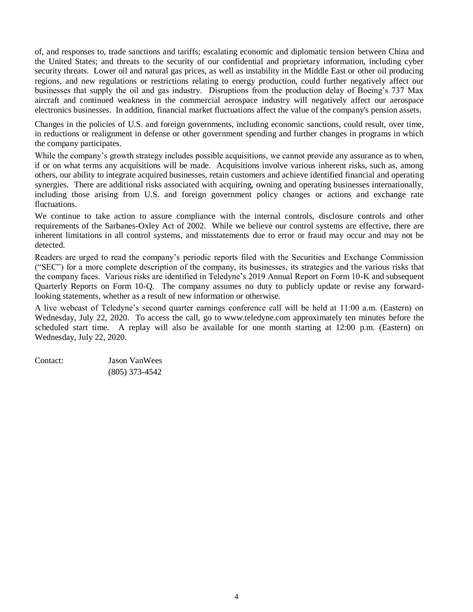of, and responses to, trade sanctions and tariffs; escalating economic and diplomatic tension between China and the United States; and threats to the security of our confidential and proprietary information, including cyber security threats. Lower oil and natural gas prices, as well as instability in the Middle East or other oil producing regions, and new regulations or restrictions relating to energy production, could further negatively affect our businesses that supply the oil and gas industry. Disruptions from the production delay of Boeing's 737 Max aircraft and continued weakness in the commercial aerospace industry will negatively affect our aerospace electronics businesses. In addition, financial market fluctuations affect the value of the company's pension assets.

Changes in the policies of U.S. and foreign governments, including economic sanctions, could result, over time, in reductions or realignment in defense or other government spending and further changes in programs in which the company participates.

While the company's growth strategy includes possible acquisitions, we cannot provide any assurance as to when, if or on what terms any acquisitions will be made. Acquisitions involve various inherent risks, such as, among others, our ability to integrate acquired businesses, retain customers and achieve identified financial and operating synergies. There are additional risks associated with acquiring, owning and operating businesses internationally, including those arising from U.S. and foreign government policy changes or actions and exchange rate fluctuations.

We continue to take action to assure compliance with the internal controls, disclosure controls and other requirements of the Sarbanes-Oxley Act of 2002. While we believe our control systems are effective, there are inherent limitations in all control systems, and misstatements due to error or fraud may occur and may not be detected.

Readers are urged to read the company's periodic reports filed with the Securities and Exchange Commission ("SEC") for a more complete description of the company, its businesses, its strategies and the various risks that the company faces. Various risks are identified in Teledyne's 2019 Annual Report on Form 10-K and subsequent Quarterly Reports on Form 10-Q. The company assumes no duty to publicly update or revise any forwardlooking statements, whether as a result of new information or otherwise.

A live webcast of Teledyne's second quarter earnings conference call will be held at 11:00 a.m. (Eastern) on Wednesday, July 22, 2020. To access the call, go to www.teledyne.com approximately ten minutes before the scheduled start time. A replay will also be available for one month starting at 12:00 p.m. (Eastern) on Wednesday, July 22, 2020.

| Contact: | <b>Jason VanWees</b> |
|----------|----------------------|
|          | $(805)$ 373-4542     |

4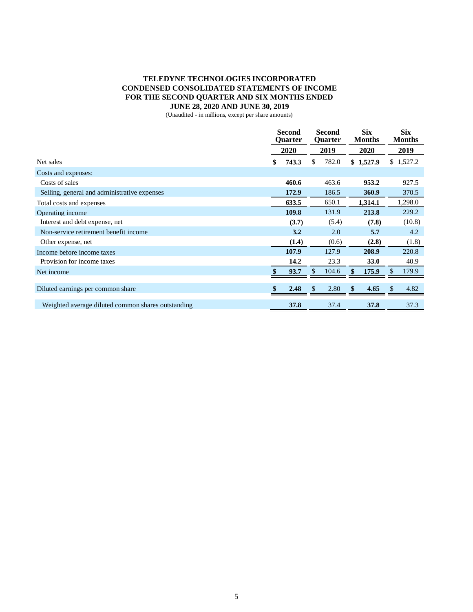# **TELEDYNE TECHNOLOGIES INCORPORATED CONDENSED CONSOLIDATED STATEMENTS OF INCOME FOR THE SECOND QUARTER AND SIX MONTHS ENDED JUNE 28, 2020 AND JUNE 30, 2019**

(Unaudited - in millions, except per share amounts)

|                                                    | <b>Second</b><br><b>Quarter</b> |       | <b>Second</b><br><b>Quarter</b> |       |      | <b>Six</b><br><b>Months</b> | <b>Six</b><br><b>Months</b> |           |  |
|----------------------------------------------------|---------------------------------|-------|---------------------------------|-------|------|-----------------------------|-----------------------------|-----------|--|
|                                                    |                                 | 2020  |                                 | 2019  | 2020 |                             |                             | 2019      |  |
| Net sales                                          | \$                              | 743.3 | \$                              | 782.0 |      | \$1,527.9                   |                             | \$1,527.2 |  |
| Costs and expenses:                                |                                 |       |                                 |       |      |                             |                             |           |  |
| Costs of sales                                     |                                 | 460.6 |                                 | 463.6 |      | 953.2                       |                             | 927.5     |  |
| Selling, general and administrative expenses       |                                 | 172.9 |                                 | 186.5 |      | 360.9                       |                             | 370.5     |  |
| Total costs and expenses                           |                                 | 633.5 |                                 | 650.1 |      | 1,314.1                     |                             | 1,298.0   |  |
| Operating income                                   |                                 | 109.8 |                                 | 131.9 |      | 213.8                       |                             | 229.2     |  |
| Interest and debt expense, net                     |                                 | (3.7) |                                 | (5.4) |      | (7.8)                       |                             | (10.8)    |  |
| Non-service retirement benefit income              |                                 | 3.2   |                                 | 2.0   |      | 5.7                         |                             | 4.2       |  |
| Other expense, net                                 |                                 | (1.4) |                                 | (0.6) |      | (2.8)                       |                             | (1.8)     |  |
| Income before income taxes                         |                                 | 107.9 |                                 | 127.9 |      | 208.9                       |                             | 220.8     |  |
| Provision for income taxes                         |                                 | 14.2  |                                 | 23.3  |      | <b>33.0</b>                 |                             | 40.9      |  |
| Net income                                         |                                 | 93.7  | \$                              | 104.6 |      | 175.9                       | \$                          | 179.9     |  |
|                                                    |                                 |       |                                 |       |      |                             |                             |           |  |
| Diluted earnings per common share                  |                                 | 2.48  | <sup>\$</sup>                   | 2.80  | \$   | 4.65                        | \$                          | 4.82      |  |
| Weighted average diluted common shares outstanding |                                 | 37.8  |                                 | 37.4  |      | 37.8                        |                             | 37.3      |  |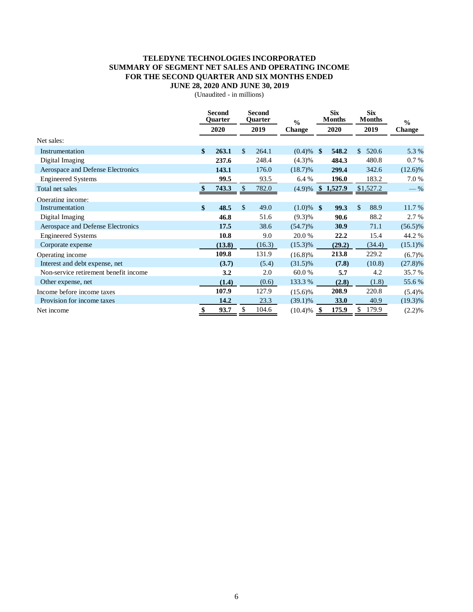## **TELEDYNE TECHNOLOGIES INCORPORATED SUMMARY OF SEGMENT NET SALES AND OPERATING INCOME FOR THE SECOND QUARTER AND SIX MONTHS ENDED JUNE 28, 2020 AND JUNE 30, 2019**

(Unaudited - in millions)

|                                       |               | <b>Second</b><br>Ouarter |              | <b>Second</b><br>Quarter | $\frac{0}{0}$ | <b>Six</b><br><b>Months</b><br>2020 |         | <b>Six</b><br><b>Months</b> |        | $\frac{0}{0}$<br><b>Change</b> |  |
|---------------------------------------|---------------|--------------------------|--------------|--------------------------|---------------|-------------------------------------|---------|-----------------------------|--------|--------------------------------|--|
|                                       |               | 2020                     | 2019         |                          | <b>Change</b> |                                     |         | 2019                        |        |                                |  |
| Net sales:                            |               |                          |              |                          |               |                                     |         |                             |        |                                |  |
| Instrumentation                       | \$            | 263.1                    | \$           | 264.1                    | $(0.4) \%$ \$ |                                     | 548.2   | $\mathcal{S}$<br>520.6      |        | 5.3 %                          |  |
| Digital Imaging                       |               | 237.6                    |              | 248.4                    | $(4.3)\%$     |                                     | 484.3   | 480.8                       |        | 0.7%                           |  |
| Aerospace and Defense Electronics     |               | 143.1                    |              | 176.0                    | $(18.7)\%$    |                                     | 299.4   | 342.6                       |        | $(12.6)\%$                     |  |
| <b>Engineered Systems</b>             |               | 99.5                     |              | 93.5                     | 6.4%          |                                     | 196.0   |                             | 183.2  | 7.0%                           |  |
| Total net sales                       |               | 743.3                    | \$           | 782.0                    | (4.9)%        |                                     | 1,527.9 | \$1,527.2                   |        | $-$ %                          |  |
| Operating income:                     |               |                          |              |                          |               |                                     |         |                             |        |                                |  |
| Instrumentation                       | $\mathbf{\$}$ | 48.5                     | $\mathbb{S}$ | 49.0                     | $(1.0)\%$ \$  |                                     | 99.3    | $\mathbb{S}$                | 88.9   | 11.7 %                         |  |
| Digital Imaging                       |               | 46.8                     |              | 51.6                     | $(9.3)\%$     |                                     | 90.6    |                             | 88.2   | 2.7 %                          |  |
| Aerospace and Defense Electronics     |               | 17.5                     |              | 38.6                     | $(54.7)\%$    |                                     | 30.9    |                             | 71.1   | $(56.5)\%$                     |  |
| <b>Engineered Systems</b>             |               | 10.8                     |              | 9.0                      | 20.0 %        |                                     | 22.2    |                             | 15.4   | 44.2 %                         |  |
| Corporate expense                     |               | (13.8)                   |              | (16.3)                   | $(15.3)\%$    |                                     | (29.2)  |                             | (34.4) | $(15.1)\%$                     |  |
| Operating income                      |               | 109.8                    |              | 131.9                    | $(16.8)\%$    |                                     | 213.8   |                             | 229.2  | (6.7)%                         |  |
| Interest and debt expense, net        |               | (3.7)                    |              | (5.4)                    | $(31.5)\%$    |                                     | (7.8)   |                             | (10.8) | $(27.8)\%$                     |  |
| Non-service retirement benefit income |               | 3.2                      |              | 2.0                      | 60.0%         |                                     | 5.7     |                             | 4.2    | 35.7 %                         |  |
| Other expense, net                    |               | (1.4)                    |              | (0.6)                    | 133.3 %       |                                     | (2.8)   |                             | (1.8)  | 55.6%                          |  |
| Income before income taxes            |               | 107.9                    |              | 127.9                    | $(15.6)\%$    |                                     | 208.9   | 220.8                       |        | (5.4)%                         |  |
| Provision for income taxes            |               | 14.2                     |              | 23.3                     | $(39.1)\%$    |                                     | 33.0    |                             | 40.9   | $(19.3)\%$                     |  |
| Net income                            | \$            | 93.7                     | \$           | 104.6                    | (10.4)%       | S                                   | 175.9   | 179.9<br>\$                 |        | (2.2)%                         |  |